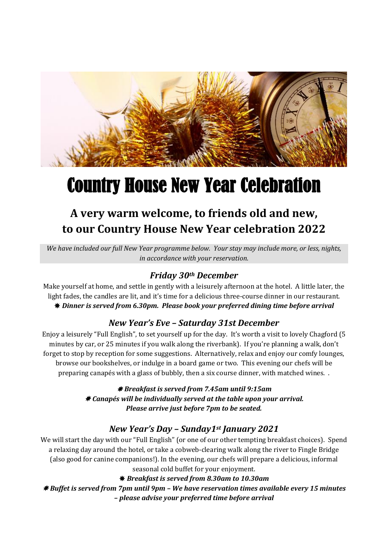

# Country House New Year Celebration

## **A very warm welcome, to friends old and new, to our Country House New Year celebration 2022**

*We have included our full New Year programme below. Your stay may include more, or less, nights, in accordance with your reservation.*

### *Friday 30th December*

Make yourself at home, and settle in gently with a leisurely afternoon at the hotel. A little later, the light fades, the candles are lit, and it's time for a delicious three-course dinner in our restaurant. *Dinner is served from 6.30pm. Please book your preferred dining time before arrival*

#### *New Year's Eve – Saturday 31st December*

Enjoy a leisurely "Full English", to set yourself up for the day. It's worth a visit to lovely Chagford (5 minutes by car, or 25 minutes if you walk along the riverbank). If you're planning a walk, don't forget to stop by reception for some suggestions. Alternatively, relax and enjoy our comfy lounges, browse our bookshelves, or indulge in a board game or two. This evening our chefs will be preparing canapés with a glass of bubbly, then a six course dinner, with matched wines. .

> *Breakfast is served from 7.45am until 9:15am Canapés will be individually served at the table upon your arrival. Please arrive just before 7pm to be seated.*

#### *New Year's Day – Sunday1st January 2021*

We will start the day with our "Full English" (or one of our other tempting breakfast choices). Spend a relaxing day around the hotel, or take a cobweb-clearing walk along the river to Fingle Bridge (also good for canine companions!). In the evening, our chefs will prepare a delicious, informal seasonal cold buffet for your enjoyment.

*Breakfast is served from 8.30am to 10.30am*

 *Buffet is served from 7pm until 9pm – We have reservation times available every 15 minutes – please advise your preferred time before arrival*